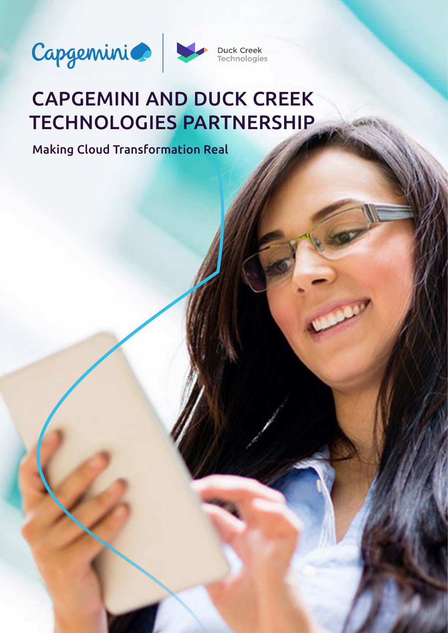

# CAPGEMINI AND DUCK CREEK TECHNOLOGIES PARTNERSHIP

Making Cloud Transformation Real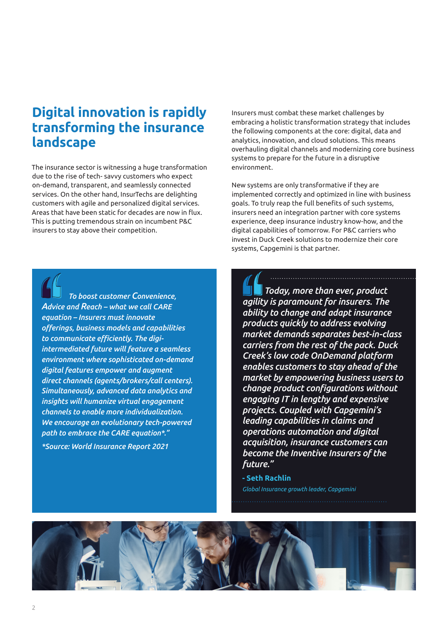# **Digital innovation is rapidly transforming the insurance landscape**

The insurance sector is witnessing a huge transformation due to the rise of tech- savvy customers who expect on-demand, transparent, and seamlessly connected services. On the other hand, InsurTechs are delighting customers with agile and personalized digital services. Areas that have been static for decades are now in flux. This is putting tremendous strain on incumbent P&C insurers to stay above their competition.

Insurers must combat these market challenges by embracing a holistic transformation strategy that includes the following components at the core: digital, data and analytics, innovation, and cloud solutions. This means overhauling digital channels and modernizing core business systems to prepare for the future in a disruptive environment.

New systems are only transformative if they are implemented correctly and optimized in line with business goals. To truly reap the full benefits of such systems, insurers need an integration partner with core systems experience, deep insurance industry know-how, and the digital capabilities of tomorrow. For P&C carriers who invest in Duck Creek solutions to modernize their core systems, Capgemini is that partner.

 *To boost customer Convenience, Advice and Reach – what we call CARE equation – Insurers must innovate offerings, business models and capabilities to communicate efficiently. The digiintermediated future will feature a seamless environment where sophisticated on-demand digital features empower and augment direct channels (agents/brokers/call centers). Simultaneously, advanced data analytics and insights will humanize virtual engagement channels to enable more individualization. We encourage an evolutionary tech-powered path to embrace the CARE equation\*."*

*\*Source: World Insurance Report 2021*

 *Today, more than ever, product agility is paramount for insurers. The ability to change and adapt insurance products quickly to address evolving market demands separates best-in-class carriers from the rest of the pack. Duck Creek's low code OnDemand platform enables customers to stay ahead of the market by empowering business users to change product configurations without engaging IT in lengthy and expensive projects. Coupled with Capgemini's leading capabilities in claims and operations automation and digital acquisition, insurance customers can become the Inventive Insurers of the future."*

**- Seth Rachlin** *Global Insurance growth leader, Capgemini*

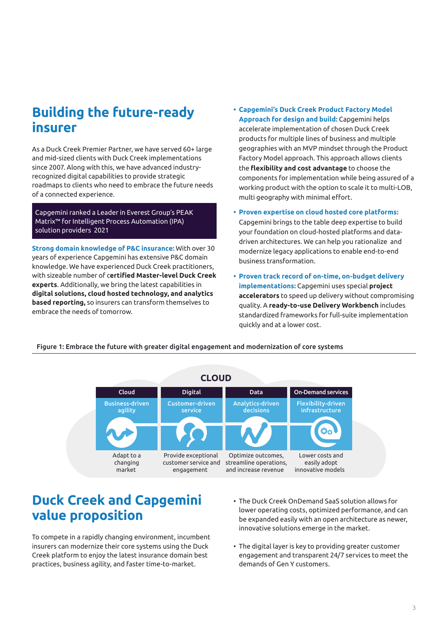# **Building the future-ready insurer**

As a Duck Creek Premier Partner, we have served 60+ large and mid-sized clients with Duck Creek implementations since 2007. Along with this, we have advanced industryrecognized digital capabilities to provide strategic roadmaps to clients who need to embrace the future needs of a connected experience.

Capgemini ranked a Leader in Everest Group's PEAK Matrix™ for Intelligent Process Automation (IPA) solution providers 2021

**Strong domain knowledge of P&C insurance:** With over 30 years of experience Capgemini has extensive P&C domain knowledge. We have experienced Duck Creek practitioners, with sizeable number of c**ertified Master-level Duck Creek experts**. Additionally, we bring the latest capabilities in **digital solutions, cloud hosted technology, and analytics based reporting,** so insurers can transform themselves to embrace the needs of tomorrow.

- **• Capgemini's Duck Creek Product Factory Model Approach for design and build:** Capgemini helps accelerate implementation of chosen Duck Creek products for multiple lines of business and multiple geographies with an MVP mindset through the Product Factory Model approach. This approach allows clients the **flexibility and cost advantage** to choose the components for implementation while being assured of a working product with the option to scale it to multi-LOB, multi geography with minimal effort.
- **• Proven expertise on cloud hosted core platforms:** Capgemini brings to the table deep expertise to build your foundation on cloud-hosted platforms and datadriven architectures. We can help you rationalize and modernize legacy applications to enable end-to-end business transformation.
- **• Proven track record of on-time, on-budget delivery implementations:** Capgemini uses special **project accelerators** to speed up delivery without compromising quality. A **ready-to-use Delivery Workbench** includes standardized frameworks for full-suite implementation quickly and at a lower cost.

Figure 1: Embrace the future with greater digital engagement and modernization of core systems



# **Duck Creek and Capgemini value proposition**

To compete in a rapidly changing environment, incumbent insurers can modernize their core systems using the Duck Creek platform to enjoy the latest insurance domain best practices, business agility, and faster time-to-market.

- The Duck Creek OnDemand SaaS solution allows for lower operating costs, optimized performance, and can be expanded easily with an open architecture as newer, innovative solutions emerge in the market.
- The digital layer is key to providing greater customer engagement and transparent 24/7 services to meet the demands of Gen Y customers.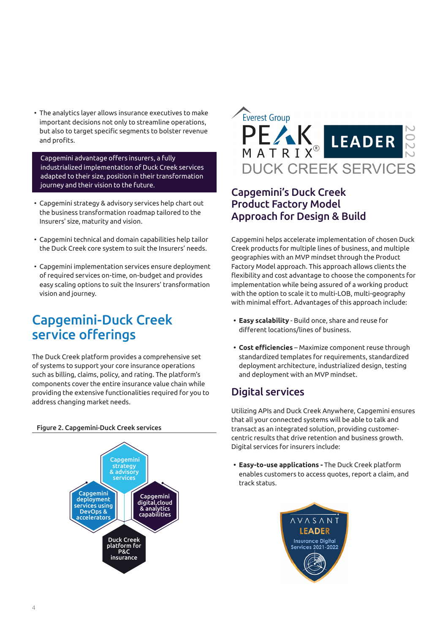• The analytics layer allows insurance executives to make important decisions not only to streamline operations, but also to target specific segments to bolster revenue and profits.

Capgemini advantage offers insurers, a fully industrialized implementation of Duck Creek services adapted to their size, position in their transformation journey and their vision to the future.

- Capgemini strategy & advisory services help chart out the business transformation roadmap tailored to the Insurers' size, maturity and vision.
- Capgemini technical and domain capabilities help tailor the Duck Creek core system to suit the Insurers' needs.
- Capgemini implementation services ensure deployment of required services on-time, on-budget and provides easy scaling options to suit the Insurers' transformation vision and journey.

# Capgemini-Duck Creek service offerings

The Duck Creek platform provides a comprehensive set of systems to support your core insurance operations such as billing, claims, policy, and rating. The platform's components cover the entire insurance value chain while providing the extensive functionalities required for you to address changing market needs.



#### Figure 2. Capgemini-Duck Creek services



### Capgemini's Duck Creek Product Factory Model Approach for Design & Build

Capgemini helps accelerate implementation of chosen Duck Creek products for multiple lines of business, and multiple geographies with an MVP mindset through the Product Factory Model approach. This approach allows clients the flexibility and cost advantage to choose the components for implementation while being assured of a working product with the option to scale it to multi-LOB, multi-geography with minimal effort. Advantages of this approach include:

- **• Easy scalability** Build once, share and reuse for different locations/lines of business.
- **• Cost efficiencies** Maximize component reuse through standardized templates for requirements, standardized deployment architecture, industrialized design, testing and deployment with an MVP mindset.

### Digital services

Utilizing APIs and Duck Creek Anywhere, Capgemini ensures that all your connected systems will be able to talk and transact as an integrated solution, providing customercentric results that drive retention and business growth. Digital services for insurers include:

**• Easy-to-use applications -** The Duck Creek platform enables customers to access quotes, report a claim, and track status.

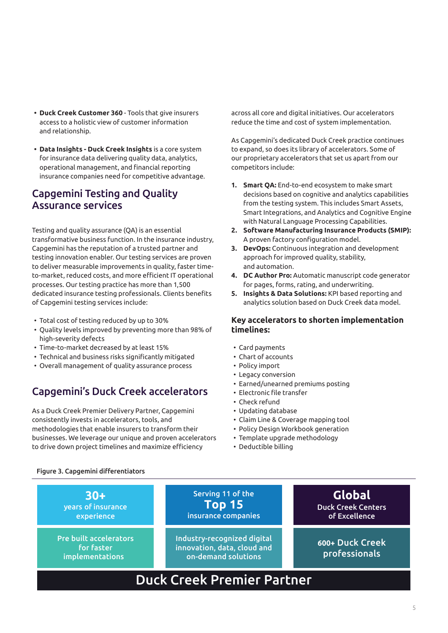- **• Duck Creek Customer 360** Tools that give insurers access to a holistic view of customer information and relationship.
- **• Data Insights Duck Creek Insights** is a core system for insurance data delivering quality data, analytics, operational management, and financial reporting insurance companies need for competitive advantage.

### Capgemini Testing and Quality Assurance services

Testing and quality assurance (QA) is an essential transformative business function. In the insurance industry, Capgemini has the reputation of a trusted partner and testing innovation enabler. Our testing services are proven to deliver measurable improvements in quality, faster timeto-market, reduced costs, and more efficient IT operational processes. Our testing practice has more than 1,500 dedicated insurance testing professionals. Clients benefits of Capgemini testing services include:

- Total cost of testing reduced by up to 30%
- Quality levels improved by preventing more than 98% of high-severity defects
- Time-to-market decreased by at least 15%
- Technical and business risks significantly mitigated
- Overall management of quality assurance process

### Capgemini's Duck Creek accelerators

As a Duck Creek Premier Delivery Partner, Capgemini consistently invests in accelerators, tools, and methodologies that enable insurers to transform their businesses. We leverage our unique and proven accelerators to drive down project timelines and maximize efficiency

across all core and digital initiatives. Our accelerators reduce the time and cost of system implementation.

As Capgemini's dedicated Duck Creek practice continues to expand, so does its library of accelerators. Some of our proprietary accelerators that set us apart from our competitors include:

- **1. Smart QA:** End-to-end ecosystem to make smart decisions based on cognitive and analytics capabilities from the testing system. This includes Smart Assets, Smart Integrations, and Analytics and Cognitive Engine with Natural Language Processing Capabilities.
- **2. Software Manufacturing Insurance Products (SMIP):**  A proven factory configuration model.
- **3. DevOps:** Continuous integration and development approach for improved quality, stability, and automation.
- **4. DC Author Pro:** Automatic manuscript code generator for pages, forms, rating, and underwriting.
- **5. Insights & Data Solutions:** KPI based reporting and analytics solution based on Duck Creek data model.

#### **Key accelerators to shorten implementation timelines:**

- Card payments
- Chart of accounts
- Policy import
- Legacy conversion
- Earned/unearned premiums posting
- Electronic file transfer
- Check refund
- Updating database
- Claim Line & Coverage mapping tool
- Policy Design Workbook generation
- Template upgrade methodology
- Deductible billing

#### Figure 3. Capgemini differentiators

| $30+$<br>years of insurance<br>experience                      | Serving 11 of the<br><b>Top 15</b><br>insurance companies                         | <b>Global</b><br><b>Duck Creek Centers</b><br>of Excellence                      |
|----------------------------------------------------------------|-----------------------------------------------------------------------------------|----------------------------------------------------------------------------------|
| <b>Pre built accelerators</b><br>for faster<br>implementations | Industry-recognized digital<br>innovation, data, cloud and<br>on-demand solutions | 600+ Duck Creek<br>$\overline{\mathsf{prof}}$ essionals $\overline{\phantom{a}}$ |
| <b>Duck Creek Premier Partner</b>                              |                                                                                   |                                                                                  |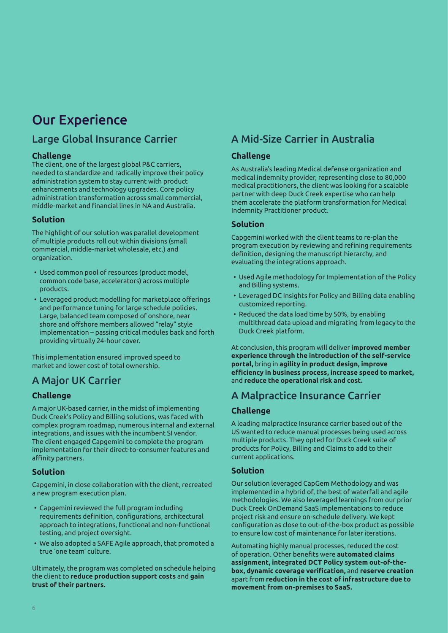# Our Experience

## Large Global Insurance Carrier

#### **Challenge**

The client, one of the largest global P&C carriers, needed to standardize and radically improve their policy administration system to stay current with product enhancements and technology upgrades. Core policy administration transformation across small commercial, middle-market and financial lines in NA and Australia.

#### **Solution**

The highlight of our solution was parallel development of multiple products roll out within divisions (small commercial, middle-market wholesale, etc.) and organization.

- Used common pool of resources (product model, common code base, accelerators) across multiple products.
- Leveraged product modelling for marketplace offerings and performance tuning for large schedule policies. Large, balanced team composed of onshore, near shore and offshore members allowed "relay" style implementation – passing critical modules back and forth providing virtually 24-hour cover.

This implementation ensured improved speed to market and lower cost of total ownership.

### A Major UK Carrier

#### **Challenge**

A major UK-based carrier, in the midst of implementing Duck Creek's Policy and Billing solutions, was faced with complex program roadmap, numerous internal and external integrations, and issues with the incumbent SI vendor. The client engaged Capgemini to complete the program implementation for their direct-to-consumer features and affinity partners.

#### **Solution**

Capgemini, in close collaboration with the client, recreated a new program execution plan.

- Capgemini reviewed the full program including requirements definition, configurations, architectural approach to integrations, functional and non-functional testing, and project oversight.
- We also adopted a SAFE Agile approach, that promoted a true 'one team' culture.

Ultimately, the program was completed on schedule helping the client to **reduce production support costs** and **gain trust of their partners.**

# A Mid-Size Carrier in Australia

#### **Challenge**

As Australia's leading Medical defense organization and medical indemnity provider, representing close to 80,000 medical practitioners, the client was looking for a scalable partner with deep Duck Creek expertise who can help them accelerate the platform transformation for Medical Indemnity Practitioner product.

#### **Solution**

Capgemini worked with the client teams to re-plan the program execution by reviewing and refining requirements definition, designing the manuscript hierarchy, and evaluating the integrations approach.

- Used Agile methodology for Implementation of the Policy and Billing systems.
- Leveraged DC Insights for Policy and Billing data enabling customized reporting.
- Reduced the data load time by 50%, by enabling multithread data upload and migrating from legacy to the Duck Creek platform.

At conclusion, this program will deliver **improved member experience through the introduction of the self-service portal,** bring in **agility in product design, improve efficiency in business process, increase speed to market,**  and **reduce the operational risk and cost.**

### A Malpractice Insurance Carrier

#### **Challenge**

A leading malpractice Insurance carrier based out of the US wanted to reduce manual processes being used across multiple products. They opted for Duck Creek suite of products for Policy, Billing and Claims to add to their current applications.

#### **Solution**

Our solution leveraged CapGem Methodology and was implemented in a hybrid of, the best of waterfall and agile methodologies. We also leveraged learnings from our prior Duck Creek OnDemand SaaS implementations to reduce project risk and ensure on-schedule delivery. We kept configuration as close to out-of-the-box product as possible to ensure low cost of maintenance for later iterations.

Automating highly manual processes, reduced the cost of operation. Other benefits were **automated claims assignment, integrated DCT Policy system out-of-thebox, dynamic coverage verification,** and **reserve creation**  apart from **reduction in the cost of infrastructure due to movement from on-premises to SaaS.**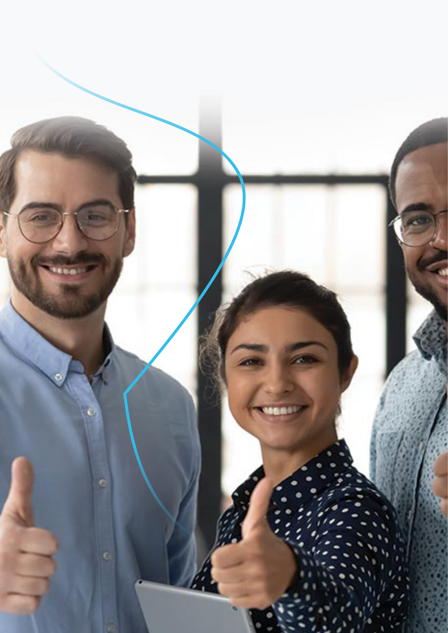